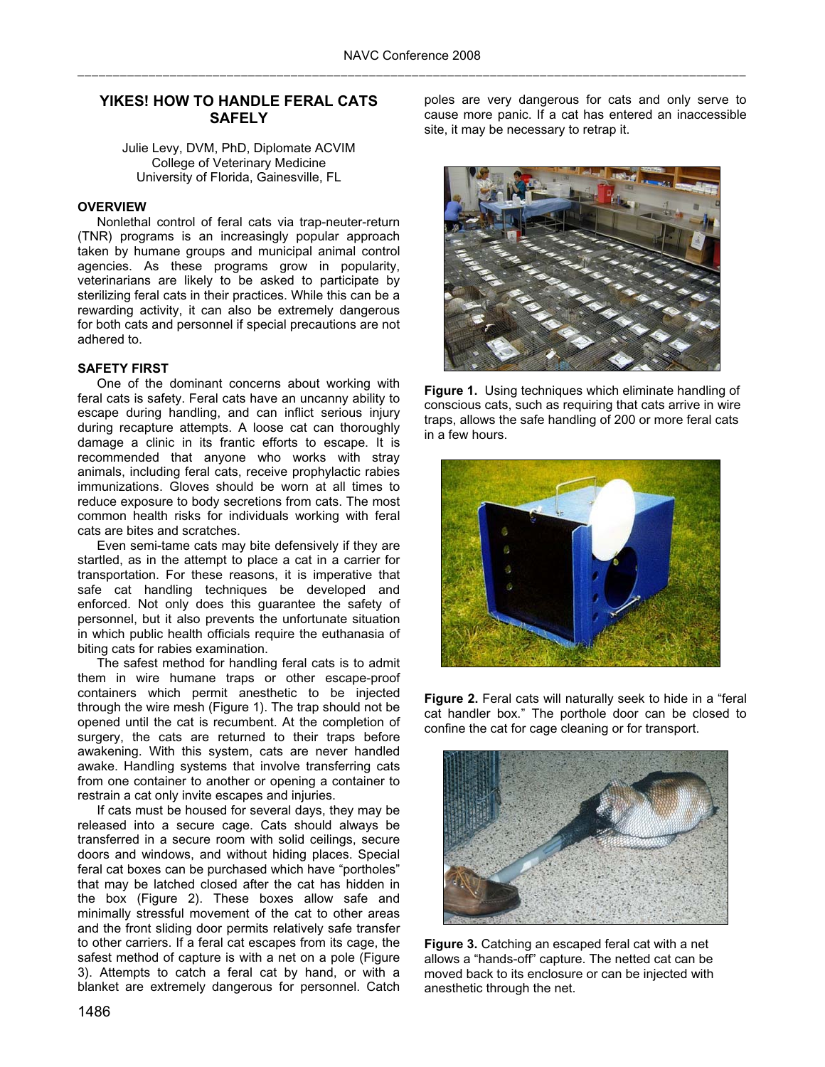# **YIKES! HOW TO HANDLE FERAL CATS SAFELY**

Julie Levy, DVM, PhD, Diplomate ACVIM College of Veterinary Medicine University of Florida, Gainesville, FL

## **OVERVIEW**

Nonlethal control of feral cats via trap-neuter-return (TNR) programs is an increasingly popular approach taken by humane groups and municipal animal control agencies. As these programs grow in popularity, veterinarians are likely to be asked to participate by sterilizing feral cats in their practices. While this can be a rewarding activity, it can also be extremely dangerous for both cats and personnel if special precautions are not adhered to.

#### **SAFETY FIRST**

One of the dominant concerns about working with feral cats is safety. Feral cats have an uncanny ability to escape during handling, and can inflict serious injury during recapture attempts. A loose cat can thoroughly damage a clinic in its frantic efforts to escape. It is recommended that anyone who works with stray animals, including feral cats, receive prophylactic rabies immunizations. Gloves should be worn at all times to reduce exposure to body secretions from cats. The most common health risks for individuals working with feral cats are bites and scratches.

Even semi-tame cats may bite defensively if they are startled, as in the attempt to place a cat in a carrier for transportation. For these reasons, it is imperative that safe cat handling techniques be developed and enforced. Not only does this guarantee the safety of personnel, but it also prevents the unfortunate situation in which public health officials require the euthanasia of biting cats for rabies examination.

The safest method for handling feral cats is to admit them in wire humane traps or other escape-proof containers which permit anesthetic to be injected through the wire mesh (Figure 1). The trap should not be opened until the cat is recumbent. At the completion of surgery, the cats are returned to their traps before awakening. With this system, cats are never handled awake. Handling systems that involve transferring cats from one container to another or opening a container to restrain a cat only invite escapes and injuries.

If cats must be housed for several days, they may be released into a secure cage. Cats should always be transferred in a secure room with solid ceilings, secure doors and windows, and without hiding places. Special feral cat boxes can be purchased which have "portholes" that may be latched closed after the cat has hidden in the box (Figure 2). These boxes allow safe and minimally stressful movement of the cat to other areas and the front sliding door permits relatively safe transfer to other carriers. If a feral cat escapes from its cage, the safest method of capture is with a net on a pole (Figure 3). Attempts to catch a feral cat by hand, or with a blanket are extremely dangerous for personnel. Catch

poles are very dangerous for cats and only serve to cause more panic. If a cat has entered an inaccessible site, it may be necessary to retrap it.



**Figure 1.** Using techniques which eliminate handling of conscious cats, such as requiring that cats arrive in wire traps, allows the safe handling of 200 or more feral cats in a few hours.



**Figure 2.** Feral cats will naturally seek to hide in a "feral cat handler box." The porthole door can be closed to confine the cat for cage cleaning or for transport.



**Figure 3.** Catching an escaped feral cat with a net allows a "hands-off" capture. The netted cat can be moved back to its enclosure or can be injected with anesthetic through the net.